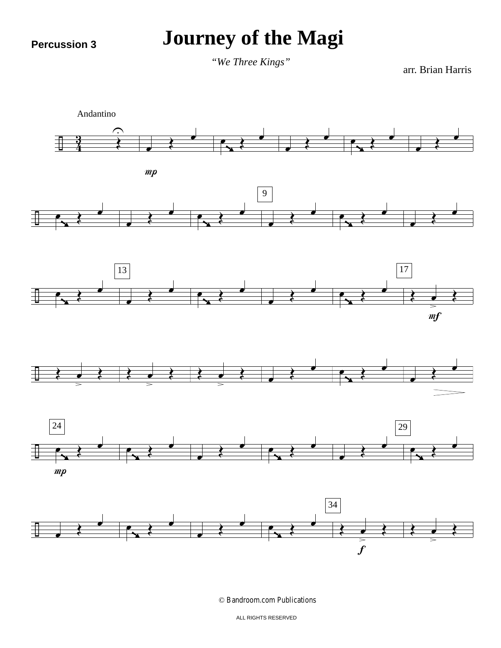**Percussion 3**

## **Journey of the Magi**

arr. Brian Harris *"We Three Kings"*



© Bandroom.com Publications

ALL RIGHTS RESERVED